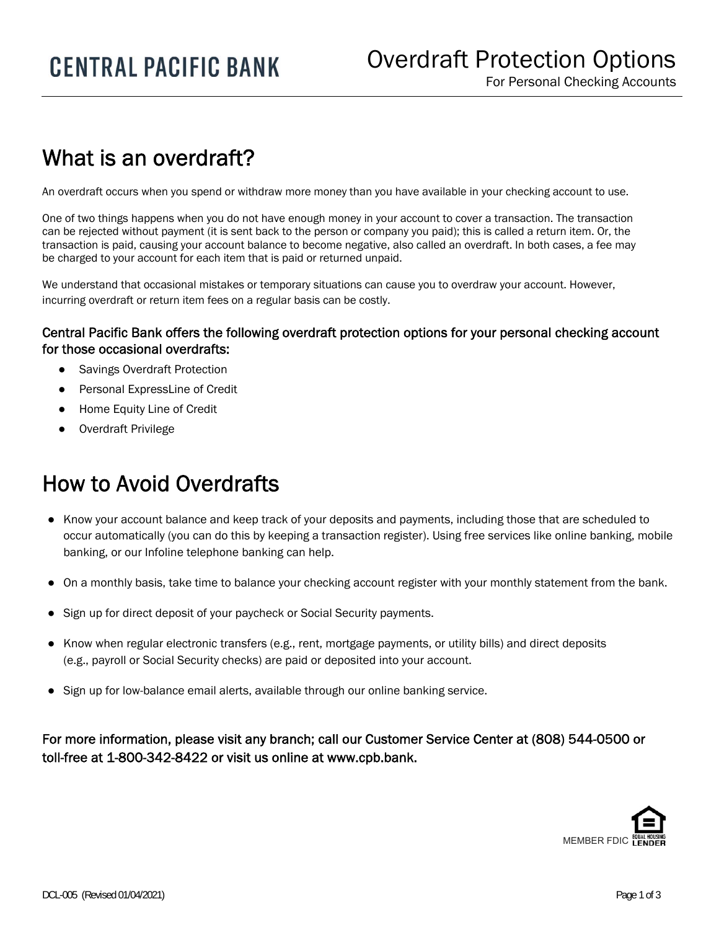## What is an overdraft?

I

An overdraft occurs when you spend or withdraw more money than you have available in your checking account to use.

One of two things happens when you do not have enough money in your account to cover a transaction. The transaction can be rejected without payment (it is sent back to the person or company you paid); this is called a return item. Or, the transaction is paid, causing your account balance to become negative, also called an overdraft. In both cases, a fee may be charged to your account for each item that is paid or returned unpaid.

We understand that occasional mistakes or temporary situations can cause you to overdraw your account. However, incurring overdraft or return item fees on a regular basis can be costly.

## Central Pacific Bank offers the following overdraft protection options for your personal checking account for those occasional overdrafts:

- Savings Overdraft Protection
- Personal ExpressLine of Credit
- **Home Equity Line of Credit**
- Overdraft Privilege

## How to Avoid Overdrafts

- Know your account balance and keep track of your deposits and payments, including those that are scheduled to occur automatically (you can do this by keeping a transaction register). Using free services like online banking, mobile banking, or our Infoline telephone banking can help.
- On a monthly basis, take time to balance your checking account register with your monthly statement from the bank.
- Sign up for direct deposit of your paycheck or Social Security payments.
- Know when regular electronic transfers (e.g., rent, mortgage payments, or utility bills) and direct deposits (e.g., payroll or Social Security checks) are paid or deposited into your account.
- Sign up for low-balance email alerts, available through our online banking service.

For more information, please visit any branch; call our Customer Service Center at (808) 544-0500 or toll-free at 1-800-342-8422 or visit us online at www.cpb.bank.

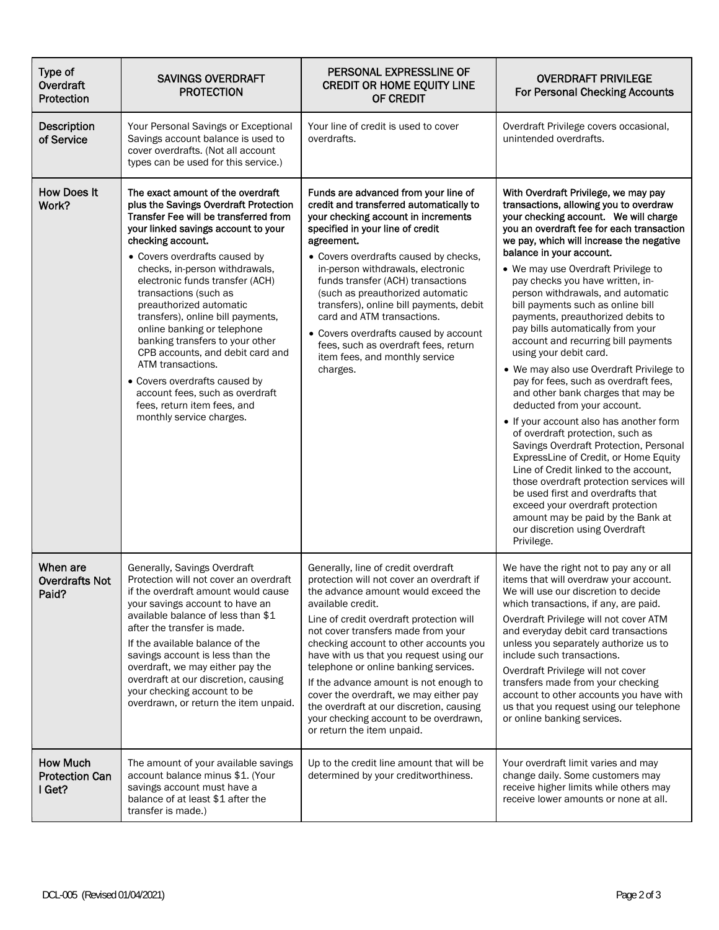| Type of<br>Overdraft<br>Protection                 | <b>SAVINGS OVERDRAFT</b><br><b>PROTECTION</b>                                                                                                                                                                                                                                                                                                                                                                                                                                                                                                                                                                                            | PERSONAL EXPRESSLINE OF<br><b>CREDIT OR HOME EQUITY LINE</b><br>OF CREDIT                                                                                                                                                                                                                                                                                                                                                                                                                                                                                            | <b>OVERDRAFT PRIVILEGE</b><br><b>For Personal Checking Accounts</b>                                                                                                                                                                                                                                                                                                                                                                                                                                                                                                                                                                                                                                                                                                                                                                                                                                                                                                                                                                                                                                                         |
|----------------------------------------------------|------------------------------------------------------------------------------------------------------------------------------------------------------------------------------------------------------------------------------------------------------------------------------------------------------------------------------------------------------------------------------------------------------------------------------------------------------------------------------------------------------------------------------------------------------------------------------------------------------------------------------------------|----------------------------------------------------------------------------------------------------------------------------------------------------------------------------------------------------------------------------------------------------------------------------------------------------------------------------------------------------------------------------------------------------------------------------------------------------------------------------------------------------------------------------------------------------------------------|-----------------------------------------------------------------------------------------------------------------------------------------------------------------------------------------------------------------------------------------------------------------------------------------------------------------------------------------------------------------------------------------------------------------------------------------------------------------------------------------------------------------------------------------------------------------------------------------------------------------------------------------------------------------------------------------------------------------------------------------------------------------------------------------------------------------------------------------------------------------------------------------------------------------------------------------------------------------------------------------------------------------------------------------------------------------------------------------------------------------------------|
| <b>Description</b><br>of Service                   | Your Personal Savings or Exceptional<br>Savings account balance is used to<br>cover overdrafts. (Not all account<br>types can be used for this service.)                                                                                                                                                                                                                                                                                                                                                                                                                                                                                 | Your line of credit is used to cover<br>overdrafts.                                                                                                                                                                                                                                                                                                                                                                                                                                                                                                                  | Overdraft Privilege covers occasional,<br>unintended overdrafts.                                                                                                                                                                                                                                                                                                                                                                                                                                                                                                                                                                                                                                                                                                                                                                                                                                                                                                                                                                                                                                                            |
| <b>How Does It</b><br>Work?                        | The exact amount of the overdraft<br>plus the Savings Overdraft Protection<br>Transfer Fee will be transferred from<br>your linked savings account to your<br>checking account.<br>• Covers overdrafts caused by<br>checks, in-person withdrawals,<br>electronic funds transfer (ACH)<br>transactions (such as<br>preauthorized automatic<br>transfers), online bill payments,<br>online banking or telephone<br>banking transfers to your other<br>CPB accounts, and debit card and<br>ATM transactions.<br>• Covers overdrafts caused by<br>account fees, such as overdraft<br>fees, return item fees, and<br>monthly service charges. | Funds are advanced from your line of<br>credit and transferred automatically to<br>your checking account in increments<br>specified in your line of credit<br>agreement.<br>• Covers overdrafts caused by checks,<br>in-person withdrawals, electronic<br>funds transfer (ACH) transactions<br>(such as preauthorized automatic<br>transfers), online bill payments, debit<br>card and ATM transactions.<br>• Covers overdrafts caused by account<br>fees, such as overdraft fees, return<br>item fees, and monthly service<br>charges.                              | With Overdraft Privilege, we may pay<br>transactions, allowing you to overdraw<br>your checking account. We will charge<br>you an overdraft fee for each transaction<br>we pay, which will increase the negative<br>balance in your account.<br>• We may use Overdraft Privilege to<br>pay checks you have written, in-<br>person withdrawals, and automatic<br>bill payments such as online bill<br>payments, preauthorized debits to<br>pay bills automatically from your<br>account and recurring bill payments<br>using your debit card.<br>• We may also use Overdraft Privilege to<br>pay for fees, such as overdraft fees,<br>and other bank charges that may be<br>deducted from your account.<br>• If your account also has another form<br>of overdraft protection, such as<br>Savings Overdraft Protection, Personal<br>ExpressLine of Credit, or Home Equity<br>Line of Credit linked to the account,<br>those overdraft protection services will<br>be used first and overdrafts that<br>exceed your overdraft protection<br>amount may be paid by the Bank at<br>our discretion using Overdraft<br>Privilege. |
| When are<br><b>Overdrafts Not</b><br>Paid?         | Generally, Savings Overdraft<br>Protection will not cover an overdraft<br>if the overdraft amount would cause<br>your savings account to have an<br>available balance of less than \$1<br>after the transfer is made.<br>If the available balance of the<br>savings account is less than the<br>overdraft, we may either pay the<br>overdraft at our discretion, causing<br>your checking account to be<br>overdrawn, or return the item unpaid.                                                                                                                                                                                         | Generally, line of credit overdraft<br>protection will not cover an overdraft if<br>the advance amount would exceed the<br>available credit.<br>Line of credit overdraft protection will<br>not cover transfers made from your<br>checking account to other accounts you<br>have with us that you request using our<br>telephone or online banking services.<br>If the advance amount is not enough to<br>cover the overdraft, we may either pay<br>the overdraft at our discretion, causing<br>your checking account to be overdrawn,<br>or return the item unpaid. | We have the right not to pay any or all<br>items that will overdraw your account.<br>We will use our discretion to decide<br>which transactions, if any, are paid.<br>Overdraft Privilege will not cover ATM<br>and everyday debit card transactions<br>unless you separately authorize us to<br>include such transactions.<br>Overdraft Privilege will not cover<br>transfers made from your checking<br>account to other accounts you have with<br>us that you request using our telephone<br>or online banking services.                                                                                                                                                                                                                                                                                                                                                                                                                                                                                                                                                                                                 |
| <b>How Much</b><br><b>Protection Can</b><br>I Get? | The amount of your available savings<br>account balance minus \$1. (Your<br>savings account must have a<br>balance of at least \$1 after the<br>transfer is made.)                                                                                                                                                                                                                                                                                                                                                                                                                                                                       | Up to the credit line amount that will be<br>determined by your creditworthiness.                                                                                                                                                                                                                                                                                                                                                                                                                                                                                    | Your overdraft limit varies and may<br>change daily. Some customers may<br>receive higher limits while others may<br>receive lower amounts or none at all.                                                                                                                                                                                                                                                                                                                                                                                                                                                                                                                                                                                                                                                                                                                                                                                                                                                                                                                                                                  |